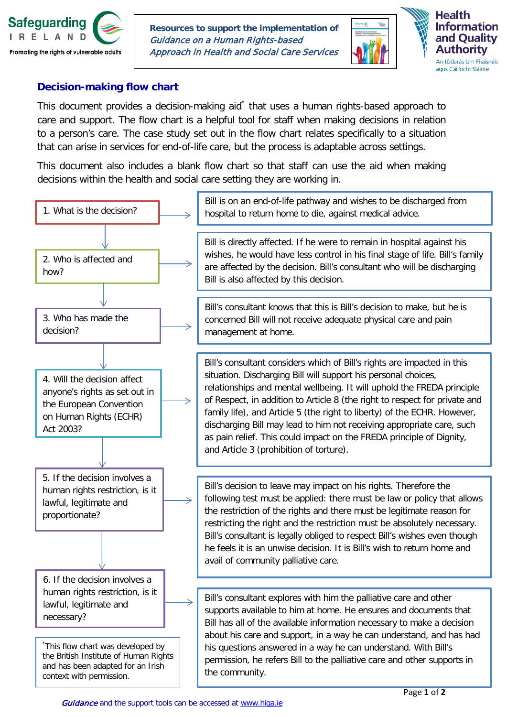

**Resources to support the implementation of** Guidance on a Human Rights-based Approach in Health and Social Care Services





## **Decision-making flow chart**

This document provides a decision-making aid<sup>\*</sup> that uses a human rights-based approach to care and support. The flow chart is a helpful tool for staff when making decisions in relation to a person's care. The case study set out in the flow chart relates specifically to a situation that can arise in services for end-of-life care, but the process is adaptable across settings.

This document also includes a blank flow chart so that staff can use the aid when making decisions within the health and social care setting they are working in.